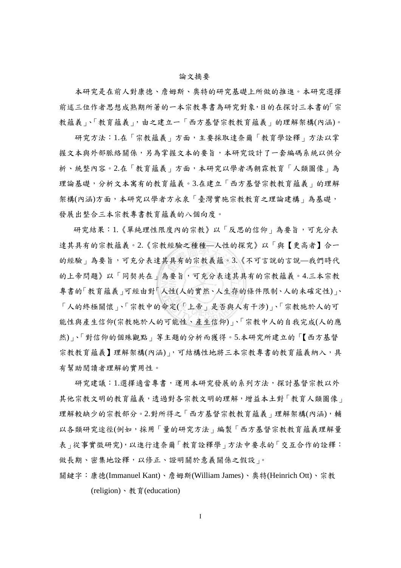## 論文摘要

本研究是在前人對康德、詹姆斯、奧特的研究基礎上所做的推進。本研究選擇 前述三位作者思想成熟期所著的一本宗教專書為研究對象,目的在探討三本書的「宗 教蘊義」、「教育蘊義」,由之建立一「西方基督宗教教育蘊義」的理解架構(內涵)。

研究方法:1.在「宗教蘊義」方面,主要採取達奈爾「教育學詮釋」方法以掌 握文本與外部脈絡關係,另為掌握文本的要旨,本研究設計了一套編碼系統以供分 析、統整內容。2.在「教育蘊義」方面,本研究以學者馮朝霖教育「人類圖像」為 理論基礎,分析文本寓有的教育蘊義。3.在建立「西方基督宗教教育蘊義」的理解 架構(內涵)方面,本研究以學者方永泉「臺灣實施宗教教育之理論建構」為基礎, 發展出整合三本宗教專書教育蘊義的八個向度。

研究結果:1.《單純理性限度內的宗教》以「反思的信仰」為要旨,可充分表 達其具有的宗教蘊義。2.《宗教經驗之種種—人性的探究》以「與【更高者】合一 的經驗」為要旨,可充分表達其具有的宗教義蘊。3.《不可言說的言說—我們時代 的上帝問題》以「同契共在」為要旨,可充分表達其具有的宗教蘊義。4.三本宗教 專書的「教育蘊義」可經由對「人性(人的實然、人生存的條件限制、人的未確定性)」、 「人的終極關懷」、「宗教中的命定(「上帝」是否與人有干涉)」、「宗教施於人的可 能性與產生信仰(宗教施於人的可能性、產生信仰)」、「宗教中人的自我完成(人的應 然)」、「對信仰的個殊觀點」等主題的分析而獲得。5.本研究所建立的「【西方基督 宗教教育蘊義】理解架構(內涵)」,可結構性地將三本宗教專書的教育蘊義納入,具 有幫助閱讀者理解的實用性。

研究建議:1.選擇適當專書,運用本研究發展的系列方法,探討基督宗教以外 其他宗教文明的教育蘊義,透過對各宗教文明的理解,增益本土對「教育人類圖像」 理解較缺少的宗教部分。2.對所得之「西方基督宗教教育蘊義」理解架構(內涵),輔 以各類研究途徑(例如,採用「量的研究方法」編製「西方基督宗教教育蘊義理解量 表」從事實徵研究),以進行達奈爾「教育詮釋學」方法中要求的「交互合作的詮釋: 做長期、密集地詮釋,以修正、證明關於意義關係之假設」。

關鍵字:康德(Immanuel Kant)、詹姆斯(William James)、奧特(Heinrich Ott)、宗教 (religion)、教育(education)

I